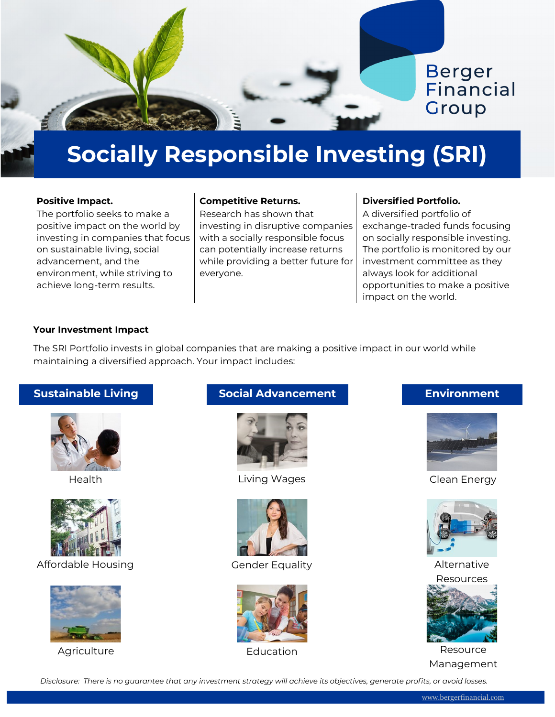

# **Socially Responsible Investing (SRI)**

## **Positive Impact.**

The portfolio seeks to make a positive impact on the world by investing in companies that focus on sustainable living, social advancement, and the environment, while striving to achieve long-term results.

## **Competitive Returns.**

Research has shown that investing in disruptive companies with a socially responsible focus can potentially increase returns while providing a better future for everyone.

# **Diversified Portfolio.**

A diversified portfolio of exchange-traded funds focusing on socially responsible investing. The portfolio is monitored by our investment committee as they always look for additional opportunities to make a positive impact on the world.

## **Your Investment Impact**

The SRI Portfolio invests in global companies that are making a positive impact in our world while maintaining a diversified approach. Your impact includes:



Health



Affordable Housing



Agriculture

# **Sustainable Living The Social Advancement The Living Environment**



Living Wages



Gender Equality



Education



Clean Energy



Alternative



Resource Management

*Disclosure: There is no guarantee that any investment strategy will achieve its objectives, generate profits, or avoid losses.*